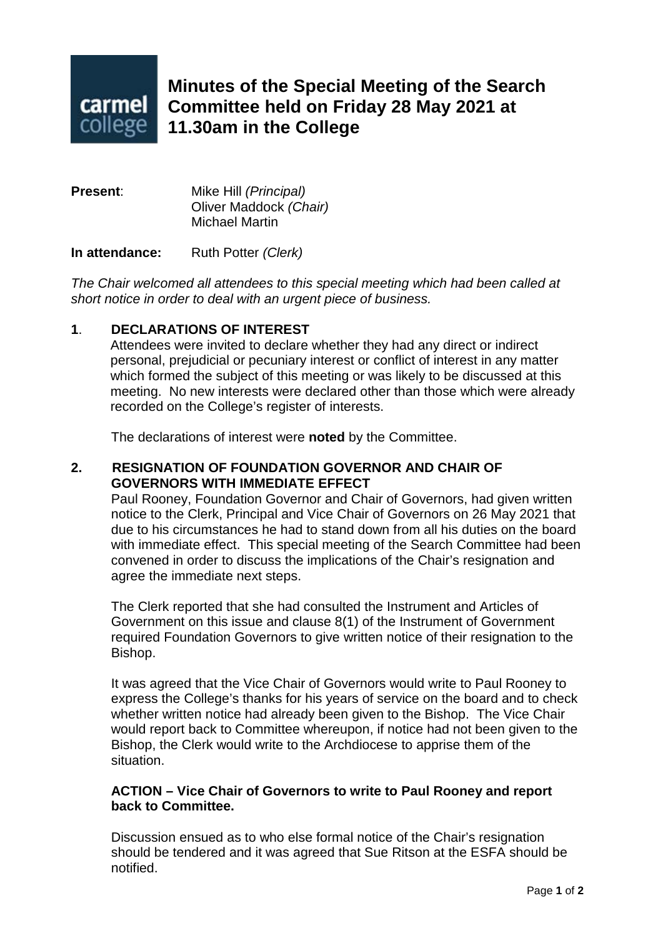

# **Minutes of the Special Meeting of the Search Committee held on Friday 28 May 2021 at 11.30am in the College**

**Present**: Mike Hill *(Principal)* Oliver Maddock *(Chair)* Michael Martin

**In attendance:** Ruth Potter *(Clerk)*

*The Chair welcomed all attendees to this special meeting which had been called at short notice in order to deal with an urgent piece of business.*

## **1**. **DECLARATIONS OF INTEREST**

Attendees were invited to declare whether they had any direct or indirect personal, prejudicial or pecuniary interest or conflict of interest in any matter which formed the subject of this meeting or was likely to be discussed at this meeting. No new interests were declared other than those which were already recorded on the College's register of interests.

The declarations of interest were **noted** by the Committee.

### **2. RESIGNATION OF FOUNDATION GOVERNOR AND CHAIR OF GOVERNORS WITH IMMEDIATE EFFECT**

Paul Rooney, Foundation Governor and Chair of Governors, had given written notice to the Clerk, Principal and Vice Chair of Governors on 26 May 2021 that due to his circumstances he had to stand down from all his duties on the board with immediate effect. This special meeting of the Search Committee had been convened in order to discuss the implications of the Chair's resignation and agree the immediate next steps.

The Clerk reported that she had consulted the Instrument and Articles of Government on this issue and clause 8(1) of the Instrument of Government required Foundation Governors to give written notice of their resignation to the Bishop.

It was agreed that the Vice Chair of Governors would write to Paul Rooney to express the College's thanks for his years of service on the board and to check whether written notice had already been given to the Bishop. The Vice Chair would report back to Committee whereupon, if notice had not been given to the Bishop, the Clerk would write to the Archdiocese to apprise them of the situation.

#### **ACTION – Vice Chair of Governors to write to Paul Rooney and report back to Committee.**

Discussion ensued as to who else formal notice of the Chair's resignation should be tendered and it was agreed that Sue Ritson at the ESFA should be notified.